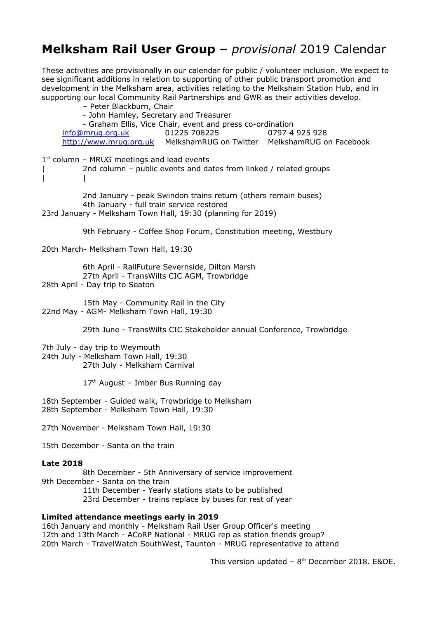## **Melksham Rail User Group –** *provisional* 2019 Calendar

These activities are provisionally in our calendar for public / volunteer inclusion. We expect to see significant additions in relation to supporting of other public transport promotion and development in the Melksham area, activities relating to the Melksham Station Hub, and in supporting our local Community Rail Partnerships and GWR as their activities develop.

– Peter Blackburn, Chair - John Hamley, Secretary and Treasurer - Graham Ellis, Vice Chair, event and press co-ordination info@mrug.org.uk 01225 708225 0797 4 925 928 http://www.mrug.org.uk MelkshamRUG on Twitter MelkshamRUG on Facebook  $1<sup>st</sup>$  column – MRUG meetings and lead events 2nd column – public events and dates from linked / related groups | | 2nd January - peak Swindon trains return (others remain buses) 4th January - full train service restored 23rd January - Melksham Town Hall, 19:30 (planning for 2019) 9th February - Coffee Shop Forum, Constitution meeting, Westbury 20th March- Melksham Town Hall, 19:30 6th April - RailFuture Severnside, Dilton Marsh 27th April - TransWilts CIC AGM, Trowbridge 28th April - Day trip to Seaton 15th May - Community Rail in the City 22nd May - AGM- Melksham Town Hall, 19:30 29th June - TransWilts CIC Stakeholder annual Conference, Trowbridge 7th July - day trip to Weymouth 24th July - Melksham Town Hall, 19:30 27th July - Melksham Carnival  $17<sup>th</sup>$  August – Imber Bus Running day 18th September - Guided walk, Trowbridge to Melksham 28th September - Melksham Town Hall, 19:30 27th November - Melksham Town Hall, 19:30 15th December - Santa on the train **Late 2018** 8th December - 5th Anniversary of service improvement 9th December - Santa on the train 11th December - Yearly stations stats to be published 23rd December - trains replace by buses for rest of year **Limited attendance meetings early in 2019**

16th January and monthly - Melksham Rail User Group Officer's meeting 12th and 13th March - ACoRP National - MRUG rep as station friends group? 20th March - TravelWatch SouthWest, Taunton - MRUG representative to attend

This version updated -  $8<sup>th</sup>$  December 2018. E&OE.